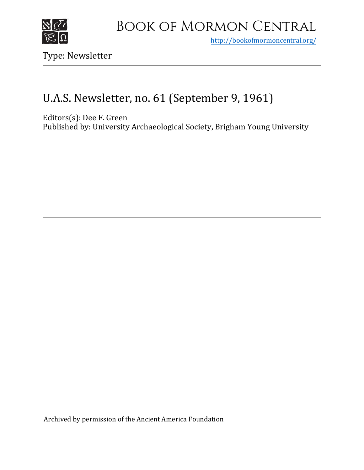

<http://bookofmormoncentral.org/>

Type: Newsletter

## U.A.S. Newsletter, no. 61 (September 9, 1961)

Editors(s): Dee F. Green

Published by: University Archaeological Society, Brigham Young University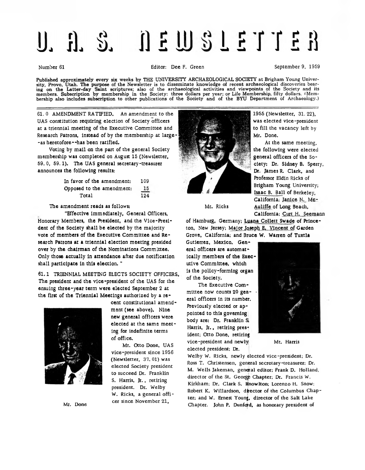## **NEWSLETTER**  $\prod_{i=1}^{n} S_i$

## Number 61 **Editor:** Dee F. Green September 9, 1959

Published approximately every six weeks by THE UNIVERSITY ARCHAEOLOGICAL SOCIETY at Brigham Young University, Provo, Utah. The purpose of the Newsletter is to disseminate knowledge of recent archaeological discoveries bearing on the Latter-day Saint scriptures; also of the archaeological activities and viewpoints of the Society and its members. Subscription by membership in the Society: three dollars per year; or Life Membership, fifty dollars. (Membership also includes subscription to other publications of the Society and of the BYU Department of Archaeology.)

61. 0 AMENDMENT RATIFIED. An amendment to the UAS constitution requiring election of Society officers at a triennial meeting of the Executive Committee and Research Patrons, instead of by the membership at large- -as heretofore--has been ratified.

Voting by mail on the part of the general Society membership was completed on August 15 (Newsletter, 59. 0, 59.1). The UAS general secretary-treasurer announces the following results:

| Opposed to the amendment: | 15  |
|---------------------------|-----|
| Total                     | 124 |

The amendment reads as follows:

''Effective immediately, General Officers, Honorary Members, the President, and the Vice-President of the Society shall be elected by the majority vote of members of the Executive Committee and Research Patrons at a triennial election meeting presided over by the chairman of the Nominations Committee. Only those actually in attendance after due notification shall participate in this election."

61.1 TRIENNIAL MEETING ELECTS SOCIETY OFFICERS The president and the vice-president of the UAS for the ensuing three-year term were elected September 2 at the first of the Triennial Meetings authorized by a re-



Mr. Done

cent constitutional amendment (see above). Nine new general officers were elected at the same meeting for indefinite terms of office.

Mr. Otto Done, UAS vice-president since 1956 (Newsletter, 37. 01) was elected Society president to succeed Dr. Franklin S. Harris, Jr., retiring president. Dr. Welby W. Ricks, a general officer since November 21,



1955 (Newsletter, 31. 22), was elected vice-president to fill the vacancy left by Mr. Done.

At the same meeting, the following were elected general officers of the Society: Dr. Sidney B. Sperry, Dr. James R. Clark, and Professor Eldin Ricks of Brigham Young University; Isaac B. Ball of Berkeley, California; Janice N.\_ Mc-Auliffe of Long Beach, California; Curt H, Seemann

Mr. Ricks

of Hamburg, Germany; Luana Collett Swade of Princeton, New Jersey; Major Joseph E. Vincent of Garden Grove, California; and Bruce W. Warren of Tuxtla

Gutierrez, Mexico. General officers are automatically members of the Executive Committee, which is the policy-forming organ of the Society.

The Executive Committee now counts 20 general officers in its number. Previously elected or appointed to this governing body are: Dr. Franklin Si Harris, Jr., retiring president; Otto Done, retiring vice-president and newly  $Mr.$  Harris elected president; Dr.



Welby W. Ricks, newly elected vice-president; Dr. Ross T. Christensen, general secretary-treasurer; Dr. M. Wells Jakeman, general editor; Frank D. Holland, director of the St. Georgp Chapter; Dr. Francis W. Kirkham; Dr. Clark S. Knowlton; Lorenzo H. Snow; Robert K. Willardson, director of the Columbus Chapter; and W. Ernest Young, director of the Salt Lake Chapter. John P. Dunford, as honorary president of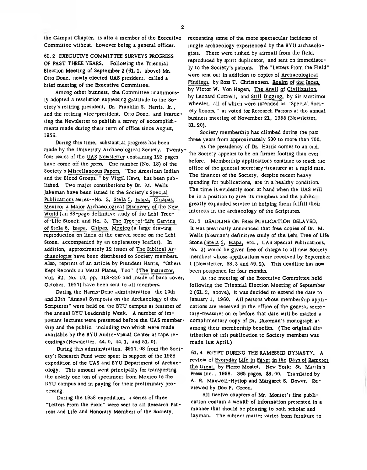the Campus Chapter, is also a member of the Executive Committee without, however being a general officer.

61. 2 EXECUTIVE COMMITTEE SURVEYS PROGRESS OF PAST THREE YEARS. Following the Triennial Election Meeting of September 2 (61.1, above) Mr. Otto Done, newly elected UAS president, called a brief meeting of the Executive Committee.

Among other business, the Committee unanimously adopted a resolution expressing gratitude to the Society's retiring president, Dr. Franklin S. Harris, Jr., and the retiring vice-president, Otto Done, and instructing the Newsletter to publish a survey of accomplishments made during their term of office since August, 1956.

During this time, substantial progress has been made by the University Archaeological Society. Twentyfour issues of the UAS Newsletter containing 123 pages have come off the press. One number (No. 18) of the Society's Miscellaneous Papers, "The American Indian and the Blood Groups, " by Virgil Haws, has been published. Two major contributions by Dr. M. Wells Jakeman have been issued in the Society's Special Publications series--No. 2, Stela 5, Izapa, Chiapas, Mexico; a Major Archaeological Discovery of the New World (an 88-page definitive study of the Lehi Treeof-Life Stone); and No. 3, The Tree-of-Life Carving of Stela 5, Izapa, Chipas, Mexico (a large drawing reproduction on linen of the carved scene on the Lehi Stone, accompanied by an explanatory leaflet). In addition, approximately 12 issues of The Biblical Archaeologist have been distributed to Society members. Also, reprints of an article by President Harris, "Others Kept Records on Metal Plates, Too" (The Instructor, Vol. 92, No. 10, pp. 318-320 and inside of back cover, October, 1957) have been sent to all members.

During the Harris-Done administration, the 10th .and 11th "Annual Symposia on the Archaeology of the Scriptures" were held on rhe BYU campus as features of the annual BYU Leadership Week. A number of important lectures were presented before the UAS membership and the public, including two which were made available by the BYU Audio-Visual Center as tape recordings (Newsletter, 44.0, 44.1, and 51. 0).

During this administration, \$917. 08 from the Society's Research Fund were spent in support of the 1958 expedition of the UAS and BYU Department of Archaeology. This amount went principally for transporting rhe nearly one ton of specimens from Mexico to the BYU campus and in paying for their preliminary processing.

During the 1958 expedition, a series of three "Letters From the Field" were sent to all Research Patrons and Life and Honorary Members of the Society,

recounting some of the more spectacular incidents of jungle archaeology experienced by the BYU archaeologists. These were rushed by airmail from the field, reproduced by spirit duplicator, and sent on immediately to the Society's patrons. The "Letters From the Field" were sent out in addition to copies of Archaeological Findings, by Ross T. Christensen, Realm of the Incas, by Victor W. Von Hagen, The Anvil of Civilization. by Leonard Cottrell, and Still Digging, by Sir Mortimor Wheeler, all of which were intended as "Special Society honors, " as voted for Research Patrons at the annual business meeting of November 21, 1955 (Newsletter, 31. 20).

Society membership has climbed during the past three years from approximately 500 to more than 700.

As the presidency of Dr. Harris comes to an end, the Society appears to be on firmer footing than ever before. Membership applications continue to reach tne office of the general secretary-treasurer at a rapid rate. The finances of the Society, despite recent heavy spending for publications, are in a healthy condition. The time is evidently soon at hand when the UAS will be in a position to give its members and the public greatly expanded service in helping them fulfill their interests in the archaeology of the Scriptures.

61. 3 DEADLINE ON FREE PUBLICATION DELAYED. It was previously announced that free copies of Dr. M. Wells Jakeman's definitive study of the Lehi Tree of Life Stone (Stela 5, Izapa, etc., UAS Special Publications, No. 2) would be given free of charge to all new Society members whose applications were received by September 1 (Newsletter, 58.3 and 59. 2). This deadline has now been postponed for four months.

At the meeting of the Executive Committee held following the Triennial Election Meeting of September 2 (Gl. 2, above), it was decided to extend the date to January 1, 1960. All persons whose membership applications are received in the office of the general secretary-treasurer on ar before that date will be mailed a complimentary copy of Dr. Jakeman's monograph as among their membership benefits. (The original distribution of this publication to Society members was made last ApriL)

61. 4 EGYPT DURING THE RAMESSID DYNASTY. A review of Everyday Life in Egypt in the Days of Rameses the Great, by Pierre Montet. New York: St. Marlin's Press Inc., 1958. 365 pages, \$8. 00. Translated by A. R. Maxwell-Hyslop and Margaret S. Dower. Reviewed by Dee F. Green.

All twelve chapters of Mr. Montet's fine publication contain a wealth of information presented in a manner that should be pleasing to both scholar and layman. The subject matter varies from furniture to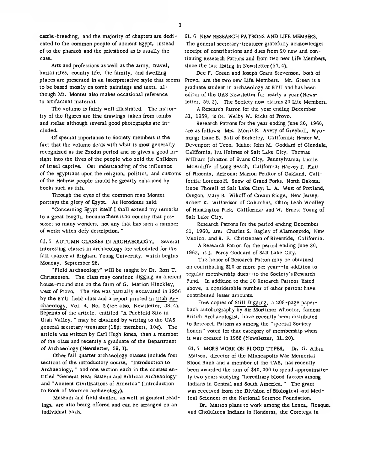cartie-breeding, and the majority of chapters are dedicated to the common people of ancient Egypt, instead of to the pharaoh and the priesthood as is usually the case.

Arts and professions as well as the army, travel, burial rites, country life, the family, and dwelling places are presented in an interpretative style that seems to be based mostly on tomb paintings and texts, although Mr. Montet also makes occasional reference to artifactual material.

The volume is fairly well illustrated. The majority of the figures are line drawings taken from tombs and stelae although several good photographs are included.

Of special inportance to Society members is the fact that the volume deals with what is most generally recognized as the Exodus period and so gives a good insight into the lives of the people who held the Children of Israel captive. Our understanding of the influence of the Egyptians upon the religion, politics, and customs of the Hebrew people should be greatly enhanced by books such as this.

Through the eyes of the common man Montet portrays the glory of Egypt. As Herodotus said:

"Concerning Egypt itself I shall extend my remarks to a great length, because there is no country that possesses so many wonders, not any that has such a number of works which defy description. "

61. 5 AUTUMN CLASSES IN ARCHAEOLOGY. Several interesting classes in archaeology are scheduled for the fall quarter at Brigham Young University, which begins Monday, September 28.

"Field Archaeology" will be taught by Dr. Ross T. Christensen. The class may continue digging an ancient house-mound site on the farm of G. Marion Hinckley, west of Provo. The site was partially excavated in 1956 by the BYU field class and a report printed in Utah Archaeology, Vol. 4, No. 2 (see also, Newsletter, 38.4). Reprints of the article, entitled "A Puebloid Site in Utah Valley, " may be obtained by writing to the UAS general secretary-treasurer (15 $\phi$ ; members, 10 $\phi$ ). The article was written by Carl Hugh Jones, than a member of the class and recently a graduate of the Department of Archaeology (Newsletter, 59.3).

Other fall quarter archaeology classes include four sections of the introductory course, "Introduction to Archaeology, " and one section each in the courses entitled "General Near Eastern and Biblical Archeaology" and "Ancient Civilizations of America" (introduction to Book of Mormon archaeology).

Museum and field studies, as well as general readings, are also being offered and can be arranged on an individual basis.

61. 6 NEW RESEARCH PATRONS AND LIFE MEMBERS. The general secretary-treasurer gratefully acknowledges receipt of contributions and dues from 20 new and continuing Research Patrons and from two new Life Members, since the last listing in Newsletter (57. 4).

Dee F. Green and Joseph Grant Stevenson, both of Provo, are the two new Life Members. Mr. Green is a graduate student in archaeology at BYU and has been editor of the UAS Newsletter for nearly a year (Newsletter, 59. 3). The Society now claims 20 Life Members.

A Research Patron for the year ending December 31, 1959, is Dr. Welby W. Ricks of Provo.

Research Patrons for the year ending June 30, 1960, are as follows: Mrs. Morris R. Avery of Greybull, Wyoming; Isaac B. Ball of Berkeley, California; Hester W. Devenport of Ucon, Idaho; John M. Goddard of Glendale, California; Iva Holmes of Salt Lake City; Thomas William Johnston of Evans City, Pennsylvania; Lucile McAuliffe of Long Beach, California; Harvey J. Platt of Phoenix, Arizona; Marion Poulter of Oakland, California; Lorenzo H. Snow of Grand Forks, North Dakota; Irene Thorell of Salt Lake City; L. A. West of Portland, Oregon; Mary B. Wikoff of Cream Ridge, New Jersey; Robert K. Willardson of Columbus, Ohio; Leah Woolley of Huntington Park, California; and W. Ernest Young of Salt Lake City.

Research Patrons for the period ending December 31, 1960, are: Charles S. Bagley of Alamogordo, New Mexico, and R. F. Christensen of Riverside, California.

A Research Patron for the period ending June 30, 1962, is J. Percy Goddard of Salt Lake City.

The honor of Research Patron may be obtained on contributing \$10 or more per year—in addition to regular membership dues--to the Society's Research Fund. In addition to the 20 Research Patrons listed above, a considerable number of other persons have contributed lesser amounts.

Free copies of Still Digging, a 208-page paperback autobiography by Sir Mortimer Wheeler, famous British Archaeologist, have recently been distributed to Research Patrons as among the "special Society honors" voted for that category of membership when it was created in 1955 (Newsletter, 31. 20).

61. 7 MORE WORK ON BLOOD TYPES. Dr. G. Albin Matson, director of the Minneapolis War Memorial Blood Bank and a member of the UAS, has recently been awarded the sum of \$40, 000 to spend approximately two years studying "hereditary blood factors among Indians in Central and South America. " The grant was received from the Division of Biological and Medical Sciences of the National Science Foundation.

Dr. Matson plans to work among the Lenca, Jicaque, and Cholulteca Indians in Honduras, the Corotega in